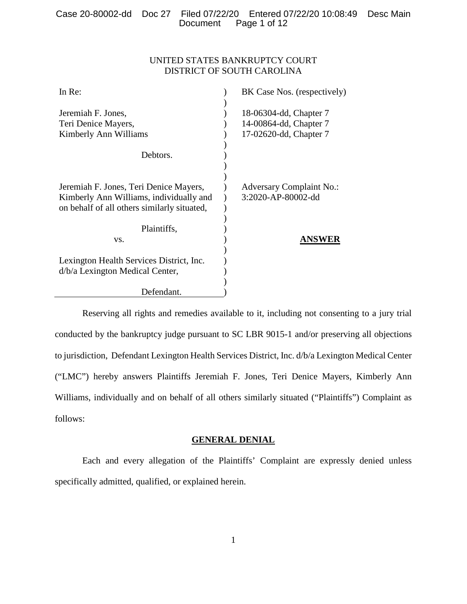# UNITED STATES BANKRUPTCY COURT DISTRICT OF SOUTH CAROLINA

| In Re:                                      | BK Case Nos. (respectively)     |
|---------------------------------------------|---------------------------------|
|                                             |                                 |
| Jeremiah F. Jones,                          | 18-06304-dd, Chapter 7          |
| Teri Denice Mayers,                         | 14-00864-dd, Chapter 7          |
| Kimberly Ann Williams                       | 17-02620-dd, Chapter 7          |
|                                             |                                 |
| Debtors.                                    |                                 |
|                                             |                                 |
|                                             |                                 |
| Jeremiah F. Jones, Teri Denice Mayers,      | <b>Adversary Complaint No.:</b> |
| Kimberly Ann Williams, individually and     | 3:2020-AP-80002-dd              |
| on behalf of all others similarly situated, |                                 |
|                                             |                                 |
| Plaintiffs,                                 |                                 |
| VS.                                         | ANSWER                          |
|                                             |                                 |
| Lexington Health Services District, Inc.    |                                 |
| d/b/a Lexington Medical Center,             |                                 |
|                                             |                                 |
| Defendant.                                  |                                 |

Reserving all rights and remedies available to it, including not consenting to a jury trial conducted by the bankruptcy judge pursuant to SC LBR 9015-1 and/or preserving all objections to jurisdiction, Defendant Lexington Health Services District, Inc. d/b/a Lexington Medical Center ("LMC") hereby answers Plaintiffs Jeremiah F. Jones, Teri Denice Mayers, Kimberly Ann Williams, individually and on behalf of all others similarly situated ("Plaintiffs") Complaint as follows:

### **GENERAL DENIAL**

Each and every allegation of the Plaintiffs' Complaint are expressly denied unless specifically admitted, qualified, or explained herein.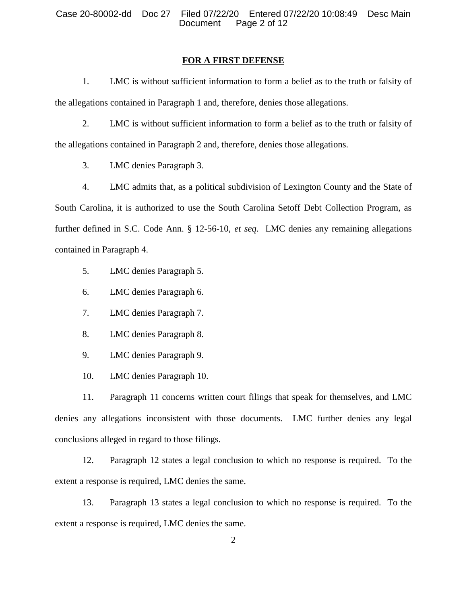#### **FOR A FIRST DEFENSE**

1. LMC is without sufficient information to form a belief as to the truth or falsity of the allegations contained in Paragraph 1 and, therefore, denies those allegations.

2. LMC is without sufficient information to form a belief as to the truth or falsity of the allegations contained in Paragraph 2 and, therefore, denies those allegations.

3. LMC denies Paragraph 3.

4. LMC admits that, as a political subdivision of Lexington County and the State of South Carolina, it is authorized to use the South Carolina Setoff Debt Collection Program, as further defined in S.C. Code Ann. § 12-56-10, *et seq*. LMC denies any remaining allegations contained in Paragraph 4.

5. LMC denies Paragraph 5.

6. LMC denies Paragraph 6.

7. LMC denies Paragraph 7.

8. LMC denies Paragraph 8.

9. LMC denies Paragraph 9.

10. LMC denies Paragraph 10.

11. Paragraph 11 concerns written court filings that speak for themselves, and LMC denies any allegations inconsistent with those documents. LMC further denies any legal conclusions alleged in regard to those filings.

12. Paragraph 12 states a legal conclusion to which no response is required. To the extent a response is required, LMC denies the same.

13. Paragraph 13 states a legal conclusion to which no response is required. To the extent a response is required, LMC denies the same.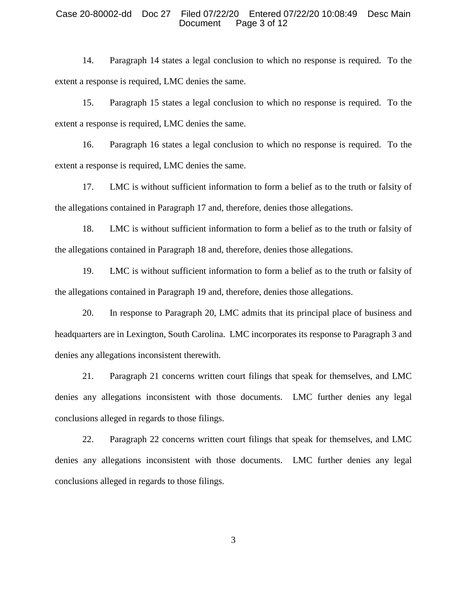#### Case 20-80002-dd Doc 27 Filed 07/22/20 Entered 07/22/20 10:08:49 Desc Main Document Page 3 of 12

14. Paragraph 14 states a legal conclusion to which no response is required. To the extent a response is required, LMC denies the same.

15. Paragraph 15 states a legal conclusion to which no response is required. To the extent a response is required, LMC denies the same.

16. Paragraph 16 states a legal conclusion to which no response is required. To the extent a response is required, LMC denies the same.

17. LMC is without sufficient information to form a belief as to the truth or falsity of the allegations contained in Paragraph 17 and, therefore, denies those allegations.

18. LMC is without sufficient information to form a belief as to the truth or falsity of the allegations contained in Paragraph 18 and, therefore, denies those allegations.

19. LMC is without sufficient information to form a belief as to the truth or falsity of the allegations contained in Paragraph 19 and, therefore, denies those allegations.

20. In response to Paragraph 20, LMC admits that its principal place of business and headquarters are in Lexington, South Carolina. LMC incorporates its response to Paragraph 3 and denies any allegations inconsistent therewith.

21. Paragraph 21 concerns written court filings that speak for themselves, and LMC denies any allegations inconsistent with those documents. LMC further denies any legal conclusions alleged in regards to those filings.

22. Paragraph 22 concerns written court filings that speak for themselves, and LMC denies any allegations inconsistent with those documents. LMC further denies any legal conclusions alleged in regards to those filings.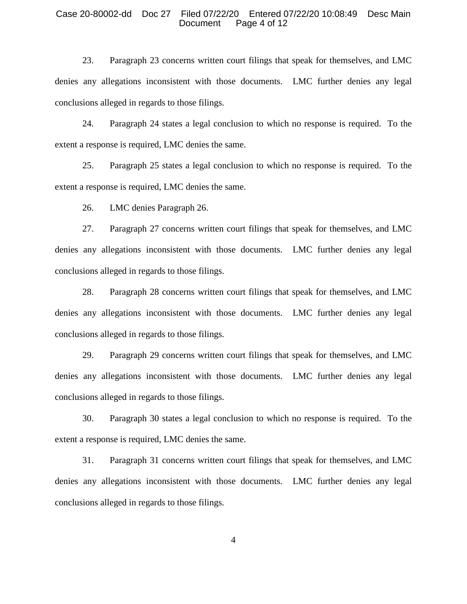#### Case 20-80002-dd Doc 27 Filed 07/22/20 Entered 07/22/20 10:08:49 Desc Main Document Page 4 of 12

23. Paragraph 23 concerns written court filings that speak for themselves, and LMC denies any allegations inconsistent with those documents. LMC further denies any legal conclusions alleged in regards to those filings.

24. Paragraph 24 states a legal conclusion to which no response is required. To the extent a response is required, LMC denies the same.

25. Paragraph 25 states a legal conclusion to which no response is required. To the extent a response is required, LMC denies the same.

26. LMC denies Paragraph 26.

27. Paragraph 27 concerns written court filings that speak for themselves, and LMC denies any allegations inconsistent with those documents. LMC further denies any legal conclusions alleged in regards to those filings.

28. Paragraph 28 concerns written court filings that speak for themselves, and LMC denies any allegations inconsistent with those documents. LMC further denies any legal conclusions alleged in regards to those filings.

29. Paragraph 29 concerns written court filings that speak for themselves, and LMC denies any allegations inconsistent with those documents. LMC further denies any legal conclusions alleged in regards to those filings.

30. Paragraph 30 states a legal conclusion to which no response is required. To the extent a response is required, LMC denies the same.

31. Paragraph 31 concerns written court filings that speak for themselves, and LMC denies any allegations inconsistent with those documents. LMC further denies any legal conclusions alleged in regards to those filings.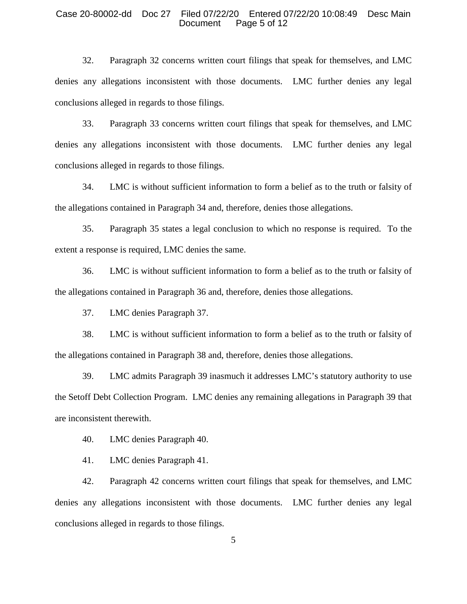#### Case 20-80002-dd Doc 27 Filed 07/22/20 Entered 07/22/20 10:08:49 Desc Main Document Page 5 of 12

32. Paragraph 32 concerns written court filings that speak for themselves, and LMC denies any allegations inconsistent with those documents. LMC further denies any legal conclusions alleged in regards to those filings.

33. Paragraph 33 concerns written court filings that speak for themselves, and LMC denies any allegations inconsistent with those documents. LMC further denies any legal conclusions alleged in regards to those filings.

34. LMC is without sufficient information to form a belief as to the truth or falsity of the allegations contained in Paragraph 34 and, therefore, denies those allegations.

35. Paragraph 35 states a legal conclusion to which no response is required. To the extent a response is required, LMC denies the same.

36. LMC is without sufficient information to form a belief as to the truth or falsity of the allegations contained in Paragraph 36 and, therefore, denies those allegations.

37. LMC denies Paragraph 37.

38. LMC is without sufficient information to form a belief as to the truth or falsity of the allegations contained in Paragraph 38 and, therefore, denies those allegations.

39. LMC admits Paragraph 39 inasmuch it addresses LMC's statutory authority to use the Setoff Debt Collection Program. LMC denies any remaining allegations in Paragraph 39 that are inconsistent therewith.

40. LMC denies Paragraph 40.

41. LMC denies Paragraph 41.

42. Paragraph 42 concerns written court filings that speak for themselves, and LMC denies any allegations inconsistent with those documents. LMC further denies any legal conclusions alleged in regards to those filings.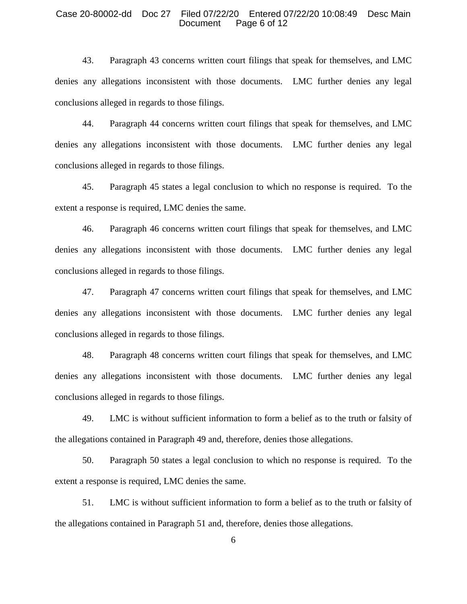#### Case 20-80002-dd Doc 27 Filed 07/22/20 Entered 07/22/20 10:08:49 Desc Main Document Page 6 of 12

43. Paragraph 43 concerns written court filings that speak for themselves, and LMC denies any allegations inconsistent with those documents. LMC further denies any legal conclusions alleged in regards to those filings.

44. Paragraph 44 concerns written court filings that speak for themselves, and LMC denies any allegations inconsistent with those documents. LMC further denies any legal conclusions alleged in regards to those filings.

45. Paragraph 45 states a legal conclusion to which no response is required. To the extent a response is required, LMC denies the same.

46. Paragraph 46 concerns written court filings that speak for themselves, and LMC denies any allegations inconsistent with those documents. LMC further denies any legal conclusions alleged in regards to those filings.

47. Paragraph 47 concerns written court filings that speak for themselves, and LMC denies any allegations inconsistent with those documents. LMC further denies any legal conclusions alleged in regards to those filings.

48. Paragraph 48 concerns written court filings that speak for themselves, and LMC denies any allegations inconsistent with those documents. LMC further denies any legal conclusions alleged in regards to those filings.

49. LMC is without sufficient information to form a belief as to the truth or falsity of the allegations contained in Paragraph 49 and, therefore, denies those allegations.

50. Paragraph 50 states a legal conclusion to which no response is required. To the extent a response is required, LMC denies the same.

51. LMC is without sufficient information to form a belief as to the truth or falsity of the allegations contained in Paragraph 51 and, therefore, denies those allegations.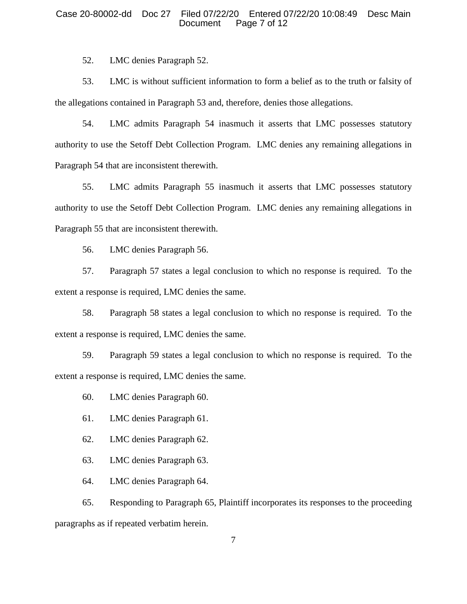#### Case 20-80002-dd Doc 27 Filed 07/22/20 Entered 07/22/20 10:08:49 Desc Main Document Page 7 of 12

52. LMC denies Paragraph 52.

53. LMC is without sufficient information to form a belief as to the truth or falsity of the allegations contained in Paragraph 53 and, therefore, denies those allegations.

54. LMC admits Paragraph 54 inasmuch it asserts that LMC possesses statutory authority to use the Setoff Debt Collection Program. LMC denies any remaining allegations in Paragraph 54 that are inconsistent therewith.

55. LMC admits Paragraph 55 inasmuch it asserts that LMC possesses statutory authority to use the Setoff Debt Collection Program. LMC denies any remaining allegations in Paragraph 55 that are inconsistent therewith.

56. LMC denies Paragraph 56.

57. Paragraph 57 states a legal conclusion to which no response is required. To the extent a response is required, LMC denies the same.

58. Paragraph 58 states a legal conclusion to which no response is required. To the extent a response is required, LMC denies the same.

59. Paragraph 59 states a legal conclusion to which no response is required. To the extent a response is required, LMC denies the same.

60. LMC denies Paragraph 60.

- 61. LMC denies Paragraph 61.
- 62. LMC denies Paragraph 62.

63. LMC denies Paragraph 63.

64. LMC denies Paragraph 64.

65. Responding to Paragraph 65, Plaintiff incorporates its responses to the proceeding paragraphs as if repeated verbatim herein.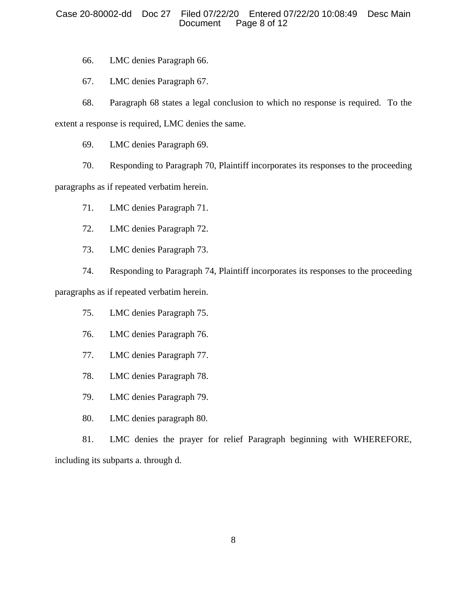# Case 20-80002-dd Doc 27 Filed 07/22/20 Entered 07/22/20 10:08:49 Desc Main Document Page 8 of 12

66. LMC denies Paragraph 66.

67. LMC denies Paragraph 67.

68. Paragraph 68 states a legal conclusion to which no response is required. To the

extent a response is required, LMC denies the same.

69. LMC denies Paragraph 69.

70. Responding to Paragraph 70, Plaintiff incorporates its responses to the proceeding

paragraphs as if repeated verbatim herein.

71. LMC denies Paragraph 71.

72. LMC denies Paragraph 72.

73. LMC denies Paragraph 73.

74. Responding to Paragraph 74, Plaintiff incorporates its responses to the proceeding

paragraphs as if repeated verbatim herein.

75. LMC denies Paragraph 75.

- 76. LMC denies Paragraph 76.
- 77. LMC denies Paragraph 77.
- 78. LMC denies Paragraph 78.
- 79. LMC denies Paragraph 79.
- 80. LMC denies paragraph 80.

81. LMC denies the prayer for relief Paragraph beginning with WHEREFORE, including its subparts a. through d.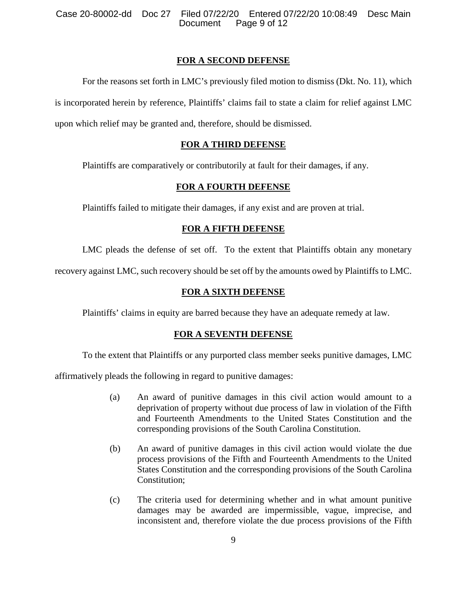# **FOR A SECOND DEFENSE**

For the reasons set forth in LMC's previously filed motion to dismiss (Dkt. No. 11), which is incorporated herein by reference, Plaintiffs' claims fail to state a claim for relief against LMC upon which relief may be granted and, therefore, should be dismissed.

# **FOR A THIRD DEFENSE**

Plaintiffs are comparatively or contributorily at fault for their damages, if any.

# **FOR A FOURTH DEFENSE**

Plaintiffs failed to mitigate their damages, if any exist and are proven at trial.

# **FOR A FIFTH DEFENSE**

LMC pleads the defense of set off. To the extent that Plaintiffs obtain any monetary

recovery against LMC, such recovery should be set off by the amounts owed by Plaintiffs to LMC.

# **FOR A SIXTH DEFENSE**

Plaintiffs' claims in equity are barred because they have an adequate remedy at law.

# **FOR A SEVENTH DEFENSE**

To the extent that Plaintiffs or any purported class member seeks punitive damages, LMC

affirmatively pleads the following in regard to punitive damages:

- (a) An award of punitive damages in this civil action would amount to a deprivation of property without due process of law in violation of the Fifth and Fourteenth Amendments to the United States Constitution and the corresponding provisions of the South Carolina Constitution.
- (b) An award of punitive damages in this civil action would violate the due process provisions of the Fifth and Fourteenth Amendments to the United States Constitution and the corresponding provisions of the South Carolina Constitution;
- (c) The criteria used for determining whether and in what amount punitive damages may be awarded are impermissible, vague, imprecise, and inconsistent and, therefore violate the due process provisions of the Fifth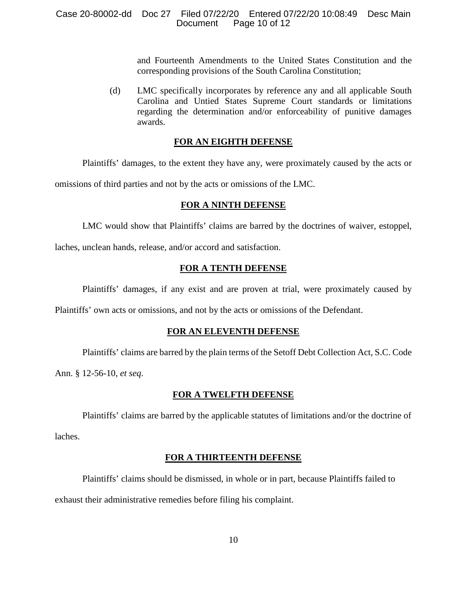## Case 20-80002-dd Doc 27 Filed 07/22/20 Entered 07/22/20 10:08:49 Desc Main Document Page 10 of 12

and Fourteenth Amendments to the United States Constitution and the corresponding provisions of the South Carolina Constitution;

(d) LMC specifically incorporates by reference any and all applicable South Carolina and Untied States Supreme Court standards or limitations regarding the determination and/or enforceability of punitive damages awards.

### **FOR AN EIGHTH DEFENSE**

Plaintiffs' damages, to the extent they have any, were proximately caused by the acts or

omissions of third parties and not by the acts or omissions of the LMC.

# **FOR A NINTH DEFENSE**

LMC would show that Plaintiffs' claims are barred by the doctrines of waiver, estoppel,

laches, unclean hands, release, and/or accord and satisfaction.

# **FOR A TENTH DEFENSE**

Plaintiffs' damages, if any exist and are proven at trial, were proximately caused by

Plaintiffs' own acts or omissions, and not by the acts or omissions of the Defendant.

## **FOR AN ELEVENTH DEFENSE**

Plaintiffs' claims are barred by the plain terms of the Setoff Debt Collection Act, S.C. Code

Ann. § 12-56-10, *et seq*.

### **FOR A TWELFTH DEFENSE**

Plaintiffs' claims are barred by the applicable statutes of limitations and/or the doctrine of laches.

# **FOR A THIRTEENTH DEFENSE**

Plaintiffs' claims should be dismissed, in whole or in part, because Plaintiffs failed to

exhaust their administrative remedies before filing his complaint.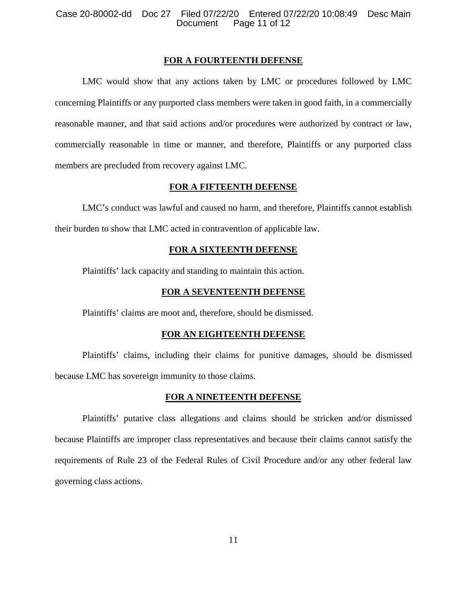### Case 20-80002-dd Doc 27 Filed 07/22/20 Entered 07/22/20 10:08:49 Desc Main Document Page 11 of 12

#### **FOR A FOURTEENTH DEFENSE**

LMC would show that any actions taken by LMC or procedures followed by LMC concerning Plaintiffs or any purported class members were taken in good faith, in a commercially reasonable manner, and that said actions and/or procedures were authorized by contract or law, commercially reasonable in time or manner, and therefore, Plaintiffs or any purported class members are precluded from recovery against LMC.

### **FOR A FIFTEENTH DEFENSE**

LMC's conduct was lawful and caused no harm, and therefore, Plaintiffs cannot establish their burden to show that LMC acted in contravention of applicable law.

#### **FOR A SIXTEENTH DEFENSE**

Plaintiffs' lack capacity and standing to maintain this action.

### **FOR A SEVENTEENTH DEFENSE**

Plaintiffs' claims are moot and, therefore, should be dismissed.

#### **FOR AN EIGHTEENTH DEFENSE**

Plaintiffs' claims, including their claims for punitive damages, should be dismissed because LMC has sovereign immunity to those claims.

#### **FOR A NINETEENTH DEFENSE**

Plaintiffs' putative class allegations and claims should be stricken and/or dismissed because Plaintiffs are improper class representatives and because their claims cannot satisfy the requirements of Rule 23 of the Federal Rules of Civil Procedure and/or any other federal law governing class actions.